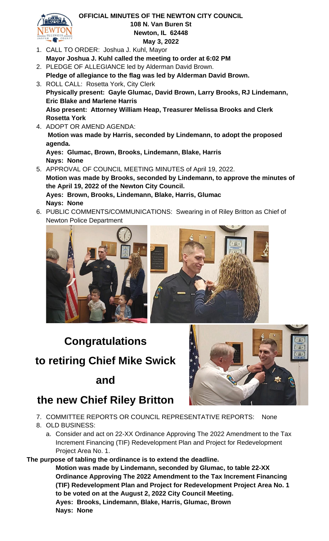

#### **OFFICIAL MINUTES OF THE NEWTON CITY COUNCIL 108 N. Van Buren St Newton, IL 62448 May 3, 2022**

- 1. CALL TO ORDER: Joshua J. Kuhl, Mayor **Mayor Joshua J. Kuhl called the meeting to order at 6:02 PM**
- 2. PLEDGE OF ALLEGIANCE led by Alderman David Brown. **Pledge of allegiance to the flag was led by Alderman David Brown.**
- 3. ROLL CALL: Rosetta York, City Clerk **Physically present: Gayle Glumac, David Brown, Larry Brooks, RJ Lindemann, Eric Blake and Marlene Harris Also present: Attorney William Heap, Treasurer Melissa Brooks and Clerk Rosetta York**
- 4. ADOPT OR AMEND AGENDA: **Motion was made by Harris, seconded by Lindemann, to adopt the proposed agenda. Ayes: Glumac, Brown, Brooks, Lindemann, Blake, Harris**
- **Nays: None** 5. APPROVAL OF COUNCIL MEETING MINUTES of April 19, 2022. **Motion was made by Brooks, seconded by Lindemann, to approve the minutes of the April 19, 2022 of the Newton City Council. Ayes: Brown, Brooks, Lindemann, Blake, Harris, Glumac Nays: None**
- 6. PUBLIC COMMENTS/COMMUNICATIONS: Swearing in of Riley Britton as Chief of Newton Police Department



# **Congratulations to retiring Chief Mike Swick**

### **and**



## **the new Chief Riley Britton**

- 7. COMMITTEE REPORTS OR COUNCIL REPRESENTATIVE REPORTS: None
- 8. OLD BUSINESS:
	- a. Consider and act on 22-XX Ordinance Approving The 2022 Amendment to the Tax Increment Financing (TIF) Redevelopment Plan and Project for Redevelopment Project Area No. 1.

**The purpose of tabling the ordinance is to extend the deadline.**

**Motion was made by Lindemann, seconded by Glumac, to table 22-XX Ordinance Approving The 2022 Amendment to the Tax Increment Financing (TIF) Redevelopment Plan and Project for Redevelopment Project Area No. 1 to be voted on at the August 2, 2022 City Council Meeting. Ayes: Brooks, Lindemann, Blake, Harris, Glumac, Brown Nays: None**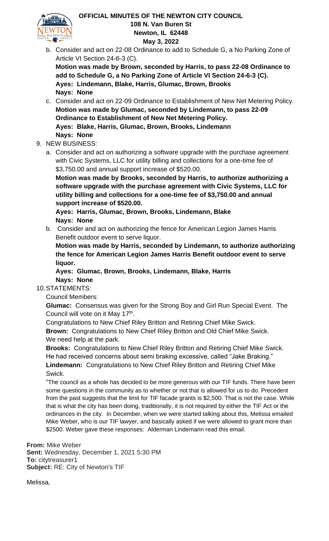

#### **OFFICIAL MINUTES OF THE NEWTON CITY COUNCIL 108 N. Van Buren St Newton, IL 62448 May 3, 2022**

b. Consider and act on 22-08 Ordinance to add to Schedule G, a No Parking Zone of Article VI Section 24-6-3 (C).

**Motion was made by Brown, seconded by Harris, to pass 22-08 Ordinance to add to Schedule G, a No Parking Zone of Article VI Section 24-6-3 (C). Ayes: Lindemann, Blake, Harris, Glumac, Brown, Brooks Nays: None**

- c. Consider and act on 22-09 Ordinance to Establishment of New Net Metering Policy. **Motion was made by Glumac, seconded by Lindemann, to pass 22-09 Ordinance to Establishment of New Net Metering Policy. Ayes: Blake, Harris, Glumac, Brown, Brooks, Lindemann Nays: None**
- 9. NEW BUSINESS:
	- a. Consider and act on authorizing a software upgrade with the purchase agreement with Civic Systems, LLC for utility billing and collections for a one-time fee of \$3,750.00 and annual support increase of \$520.00.

**Motion was made by Brooks, seconded by Harris, to authorize authorizing a software upgrade with the purchase agreement with Civic Systems, LLC for utility billing and collections for a one-time fee of \$3,750.00 and annual support increase of \$520.00.**

**Ayes: Harris, Glumac, Brown, Brooks, Lindemann, Blake Nays: None**

b. Consider and act on authorizing the fence for American Legion James Harris Benefit outdoor event to serve liquor.

**Motion was made by Harris, seconded by Lindemann, to authorize authorizing the fence for American Legion James Harris Benefit outdoor event to serve liquor.**

**Ayes: Glumac, Brown, Brooks, Lindemann, Blake, Harris Nays: None**

#### 10.STATEMENTS:

Council Members:

**Glumac:** Consensus was given for the Strong Boy and Girl Run Special Event. The Council will vote on it May 17<sup>th</sup>.

Congratulations to New Chief Riley Britton and Retiring Chief Mike Swick. **Brown:** Congratulations to New Chief Riley Britton and Old Chief Mike Swick. We need help at the park.

**Brooks:** Congratulations to New Chief Riley Britton and Retiring Chief Mike Swick. He had received concerns about semi braking excessive, called "Jake Braking."

**Lindemann:** Congratulations to New Chief Riley Britton and Retiring Chief Mike Swick.

"The council as a whole has decided to be more generous with our TIF funds. There have been some questions in the community as to whether or not that is allowed for us to do. Precedent from the past suggests that the limit for TIF facade grants is \$2,500. That is not the case. While that is what the city has been doing, traditionally, it is not required by either the TIF Act or the ordinances in the city. In December, when we were started talking about this, Melissa emailed Mike Weber, who is our TIF lawyer, and basically asked if we were allowed to grant more than \$2500. Weber gave these responses: Alderman Lindemann read this email.

**From:** Mike Weber **Sent:** Wednesday, December 1, 2021 5:30 PM **To:** citytreasurer1 **Subject:** RE: City of Newton's TIF

Melissa,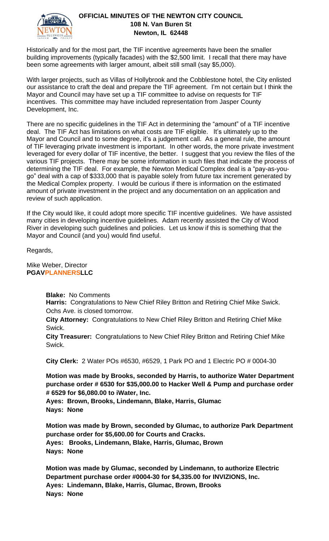

#### **OFFICIAL MINUTES OF THE NEWTON CITY COUNCIL 108 N. Van Buren St Newton, IL 62448**

Historically and for the most part, the TIF incentive agreements have been the smaller building improvements (typically facades) with the \$2,500 limit. I recall that there may have been some agreements with larger amount, albeit still small (say \$5,000).

With larger projects, such as Villas of Hollybrook and the Cobblestone hotel, the City enlisted our assistance to craft the deal and prepare the TIF agreement. I'm not certain but I think the Mayor and Council may have set up a TIF committee to advise on requests for TIF incentives. This committee may have included representation from Jasper County Development, Inc.

There are no specific guidelines in the TIF Act in determining the "amount" of a TIF incentive deal. The TIF Act has limitations on what costs are TIF eligible. It's ultimately up to the Mayor and Council and to some degree, it's a judgement call. As a general rule, the amount of TIF leveraging private investment is important. In other words, the more private investment leveraged for every dollar of TIF incentive, the better. I suggest that you review the files of the various TIF projects. There may be some information in such files that indicate the process of determining the TIF deal. For example, the Newton Medical Complex deal is a "pay-as-yougo" deal with a cap of \$333,000 that is payable solely from future tax increment generated by the Medical Complex property. I would be curious if there is information on the estimated amount of private investment in the project and any documentation on an application and review of such application.

If the City would like, it could adopt more specific TIF incentive guidelines. We have assisted many cities in developing incentive guidelines. Adam recently assisted the City of Wood River in developing such guidelines and policies. Let us know if this is something that the Mayor and Council (and you) would find useful.

Regards,

Mike Weber, Director **PGAVPLANNERSLLC**

**Blake:** No Comments

**Harris:** Congratulations to New Chief Riley Britton and Retiring Chief Mike Swick. Ochs Ave. is closed tomorrow.

**City Attorney:** Congratulations to New Chief Riley Britton and Retiring Chief Mike Swick.

**City Treasurer:** Congratulations to New Chief Riley Britton and Retiring Chief Mike Swick.

**City Clerk:** 2 Water POs #6530, #6529, 1 Park PO and 1 Electric PO # 0004-30

**Motion was made by Brooks, seconded by Harris, to authorize Water Department purchase order # 6530 for \$35,000.00 to Hacker Well & Pump and purchase order # 6529 for \$6,080.00 to iWater, Inc.**

**Ayes: Brown, Brooks, Lindemann, Blake, Harris, Glumac Nays: None**

**Motion was made by Brown, seconded by Glumac, to authorize Park Department purchase order for \$5,600.00 for Courts and Cracks. Ayes: Brooks, Lindemann, Blake, Harris, Glumac, Brown Nays: None**

**Motion was made by Glumac, seconded by Lindemann, to authorize Electric Department purchase order #0004-30 for \$4,335.00 for INVIZIONS, Inc. Ayes: Lindemann, Blake, Harris, Glumac, Brown, Brooks Nays: None**